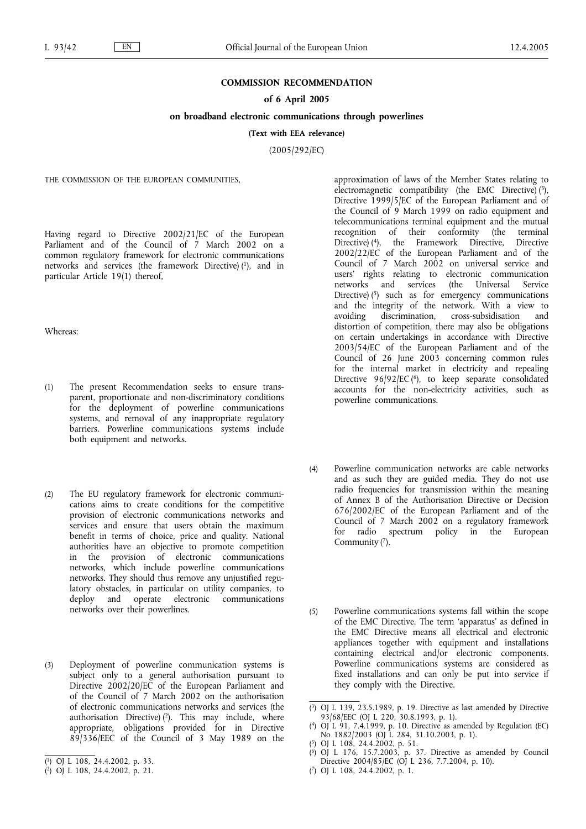## **COMMISSION RECOMMENDATION**

## **of 6 April 2005**

## **on broadband electronic communications through powerlines**

**(Text with EEA relevance)**

(2005/292/EC)

THE COMMISSION OF THE EUROPEAN COMMUNITIES.

Having regard to Directive 2002/21/EC of the European Parliament and of the Council of 7 March 2002 on a common regulatory framework for electronic communications networks and services (the framework Directive) (1), and in particular Article 19(1) thereof,

Whereas:

- (1) The present Recommendation seeks to ensure transparent, proportionate and non-discriminatory conditions for the deployment of powerline communications systems, and removal of any inappropriate regulatory barriers. Powerline communications systems include both equipment and networks.
- (2) The EU regulatory framework for electronic communications aims to create conditions for the competitive provision of electronic communications networks and services and ensure that users obtain the maximum benefit in terms of choice, price and quality. National authorities have an objective to promote competition in the provision of electronic communications networks, which include powerline communications networks. They should thus remove any unjustified regulatory obstacles, in particular on utility companies, to deploy and operate electronic communications networks over their powerlines.
- (3) Deployment of powerline communication systems is subject only to a general authorisation pursuant to Directive 2002/20/EC of the European Parliament and of the Council of 7 March 2002 on the authorisation of electronic communications networks and services (the authorisation Directive)  $(2)$ . This may include, where appropriate, obligations provided for in Directive 89/336/EEC of the Council of 3 May 1989 on the

approximation of laws of the Member States relating to electromagnetic compatibility (the EMC Directive)  $(3)$ , Directive 1999/5/EC of the European Parliament and of the Council of 9 March 1999 on radio equipment and telecommunications terminal equipment and the mutual recognition of their conformity (the terminal Directive) (4), the Framework Directive, Directive 2002/22/EC of the European Parliament and of the Council of 7 March 2002 on universal service and users' rights relating to electronic communication<br>networks and services (the Universal Service networks and services (the Universal Service Directive) (5) such as for emergency communications and the integrity of the network. With a view to avoiding discrimination, cross-subsidisation and cross-subsidisation distortion of competition, there may also be obligations on certain undertakings in accordance with Directive 2003/54/EC of the European Parliament and of the Council of 26 June 2003 concerning common rules for the internal market in electricity and repealing Directive  $96/92/EC$  ( $6$ ), to keep separate consolidated accounts for the non-electricity activities, such as powerline communications.

- (4) Powerline communication networks are cable networks and as such they are guided media. They do not use radio frequencies for transmission within the meaning of Annex B of the Authorisation Directive or Decision 676/2002/EC of the European Parliament and of the Council of 7 March 2002 on a regulatory framework for radio spectrum policy in the European Community  $(7)$ .
- (5) Powerline communications systems fall within the scope of the EMC Directive. The term 'apparatus' as defined in the EMC Directive means all electrical and electronic appliances together with equipment and installations containing electrical and/or electronic components. Powerline communications systems are considered as fixed installations and can only be put into service if they comply with the Directive.

( 7) OJ L 108, 24.4.2002, p. 1.

<sup>(</sup> 1) OJ L 108, 24.4.2002, p. 33.

<sup>(</sup> 2) OJ L 108, 24.4.2002, p. 21.

<sup>(</sup> 3) OJ L 139, 23.5.1989, p. 19. Directive as last amended by Directive 93/68/EEC (OJ L 220, 30.8.1993, p. 1).

<sup>(</sup> 4) OJ L 91, 7.4.1999, p. 10. Directive as amended by Regulation (EC) No 1882/2003 (OJ L 284, 31.10.2003, p. 1).

<sup>(</sup> 5) OJ L 108, 24.4.2002, p. 51.

<sup>(</sup> 6) OJ L 176, 15.7.2003, p. 37. Directive as amended by Council Directive 2004/85/EC (OJ L 236, 7.7.2004, p. 10).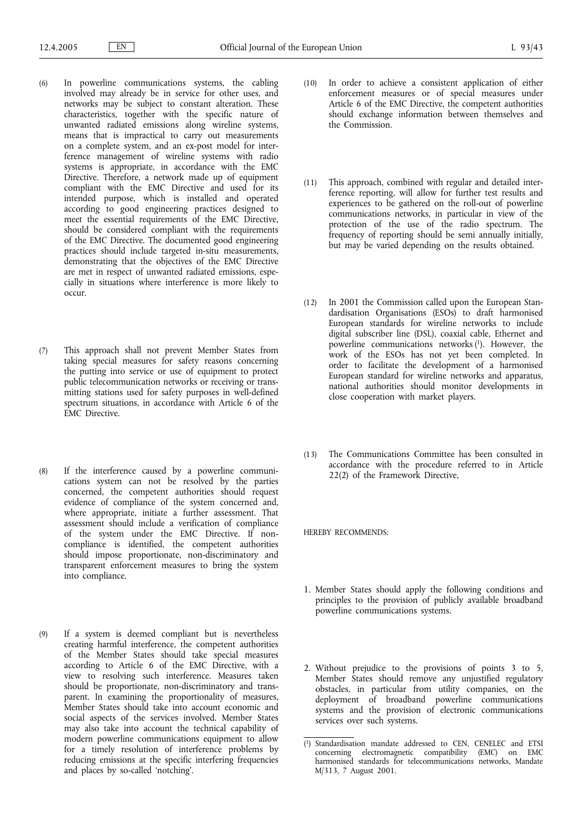- (6) In powerline communications systems, the cabling involved may already be in service for other uses, and networks may be subject to constant alteration. These characteristics, together with the specific nature of unwanted radiated emissions along wireline systems, means that is impractical to carry out measurements on a complete system, and an ex-post model for interference management of wireline systems with radio systems is appropriate, in accordance with the EMC Directive. Therefore, a network made up of equipment compliant with the EMC Directive and used for its intended purpose, which is installed and operated according to good engineering practices designed to meet the essential requirements of the EMC Directive, should be considered compliant with the requirements of the EMC Directive. The documented good engineering practices should include targeted in-situ measurements, demonstrating that the objectives of the EMC Directive are met in respect of unwanted radiated emissions, especially in situations where interference is more likely to occur.
- (7) This approach shall not prevent Member States from taking special measures for safety reasons concerning the putting into service or use of equipment to protect public telecommunication networks or receiving or transmitting stations used for safety purposes in well-defined spectrum situations, in accordance with Article 6 of the EMC Directive.
- (8) If the interference caused by a powerline communications system can not be resolved by the parties concerned, the competent authorities should request evidence of compliance of the system concerned and, where appropriate, initiate a further assessment. That assessment should include a verification of compliance of the system under the EMC Directive. If noncompliance is identified, the competent authorities should impose proportionate, non-discriminatory and transparent enforcement measures to bring the system into compliance.
- (9) If a system is deemed compliant but is nevertheless creating harmful interference, the competent authorities of the Member States should take special measures according to Article 6 of the EMC Directive, with a view to resolving such interference. Measures taken should be proportionate, non-discriminatory and transparent. In examining the proportionality of measures, Member States should take into account economic and social aspects of the services involved. Member States may also take into account the technical capability of modern powerline communications equipment to allow for a timely resolution of interference problems by reducing emissions at the specific interfering frequencies and places by so-called 'notching'.
- (10) In order to achieve a consistent application of either enforcement measures or of special measures under Article 6 of the EMC Directive, the competent authorities should exchange information between themselves and the Commission.
- (11) This approach, combined with regular and detailed interference reporting, will allow for further test results and experiences to be gathered on the roll-out of powerline communications networks, in particular in view of the protection of the use of the radio spectrum. The frequency of reporting should be semi annually initially, but may be varied depending on the results obtained.
- (12) In 2001 the Commission called upon the European Standardisation Organisations (ESOs) to draft harmonised European standards for wireline networks to include digital subscriber line (DSL), coaxial cable, Ethernet and powerline communications networks (1). However, the work of the ESOs has not yet been completed. In order to facilitate the development of a harmonised European standard for wireline networks and apparatus, national authorities should monitor developments in close cooperation with market players.
- (13) The Communications Committee has been consulted in accordance with the procedure referred to in Article 22(2) of the Framework Directive,

HEREBY RECOMMENDS:

- 1. Member States should apply the following conditions and principles to the provision of publicly available broadband powerline communications systems.
- 2. Without prejudice to the provisions of points 3 to 5, Member States should remove any unjustified regulatory obstacles, in particular from utility companies, on the deployment of broadband powerline communications systems and the provision of electronic communications services over such systems.

<sup>(</sup> 1) Standardisation mandate addressed to CEN, CENELEC and ETSI concerning electromagnetic compatibility (EMC) on EMC harmonised standards for telecommunications networks, Mandate M/313, 7 August 2001.